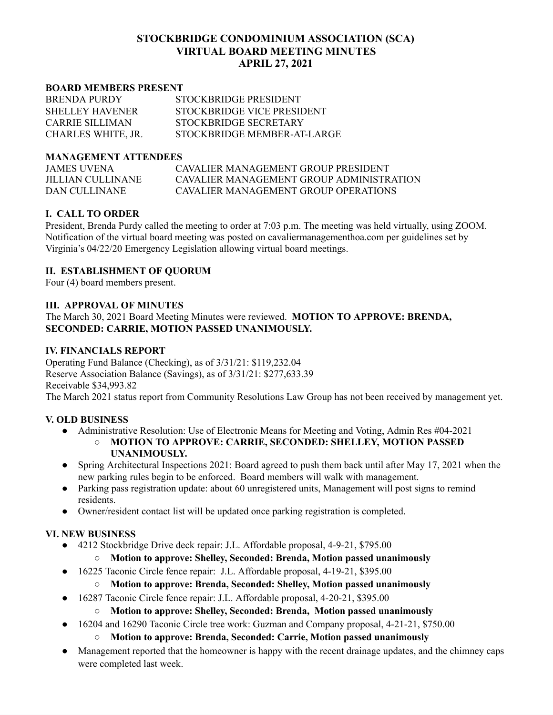# **STOCKBRIDGE CONDOMINIUM ASSOCIATION (SCA) VIRTUAL BOARD MEETING MINUTES APRIL 27, 2021**

#### **BOARD MEMBERS PRESENT**

| <b>BRENDA PURDY</b>    | STOCKBRIDGE PRESIDENT       |
|------------------------|-----------------------------|
| <b>SHELLEY HAVENER</b> | STOCKBRIDGE VICE PRESIDENT  |
| CARRIE SILLIMAN        | STOCKBRIDGE SECRETARY       |
| CHARLES WHITE, JR.     | STOCKBRIDGE MEMBER-AT-LARGE |

#### **MANAGEMENT ATTENDEES**

JAMES UVENA CAVALIER MANAGEMENT GROUP PRESIDENT JILLIAN CULLINANE CAVALIER MANAGEMENT GROUP ADMINISTRATION DAN CULLINANE CAVALIER MANAGEMENT GROUP OPERATIONS

### **I. CALL TO ORDER**

President, Brenda Purdy called the meeting to order at 7:03 p.m. The meeting was held virtually, using ZOOM. Notification of the virtual board meeting was posted on cavaliermanagementhoa.com per guidelines set by Virginia's 04/22/20 Emergency Legislation allowing virtual board meetings.

#### **II. ESTABLISHMENT OF QUORUM**

Four (4) board members present.

### **III. APPROVAL OF MINUTES**

The March 30, 2021 Board Meeting Minutes were reviewed. **MOTION TO APPROVE: BRENDA, SECONDED: CARRIE, MOTION PASSED UNANIMOUSLY.**

### **IV. FINANCIALS REPORT**

Operating Fund Balance (Checking), as of 3/31/21: \$119,232.04 Reserve Association Balance (Savings), as of 3/31/21: \$277,633.39 Receivable \$34,993.82

The March 2021 status report from Community Resolutions Law Group has not been received by management yet.

## **V. OLD BUSINESS**

- Administrative Resolution: Use of Electronic Means for Meeting and Voting, Admin Res #04-2021
	- **○ MOTION TO APPROVE: CARRIE, SECONDED: SHELLEY, MOTION PASSED UNANIMOUSLY.**
- Spring Architectural Inspections 2021: Board agreed to push them back until after May 17, 2021 when the new parking rules begin to be enforced. Board members will walk with management.
- Parking pass registration update: about 60 unregistered units, Management will post signs to remind residents.
- Owner/resident contact list will be updated once parking registration is completed.

## **VI. NEW BUSINESS**

- 4212 Stockbridge Drive deck repair: J.L. Affordable proposal, 4-9-21, \$795.00
	- **○ Motion to approve: Shelley, Seconded: Brenda, Motion passed unanimously**
- 16225 Taconic Circle fence repair: J.L. Affordable proposal, 4-19-21, \$395.00

#### ○ **Motion to approve: Brenda, Seconded: Shelley, Motion passed unanimously**

- 16287 Taconic Circle fence repair: J.L. Affordable proposal, 4-20-21, \$395.00
	- **Motion to approve: Shelley, Seconded: Brenda, Motion passed unanimously**
- 16204 and 16290 Taconic Circle tree work: Guzman and Company proposal, 4-21-21, \$750.00
	- **Motion to approve: Brenda, Seconded: Carrie, Motion passed unanimously**
- Management reported that the homeowner is happy with the recent drainage updates, and the chimney caps were completed last week.